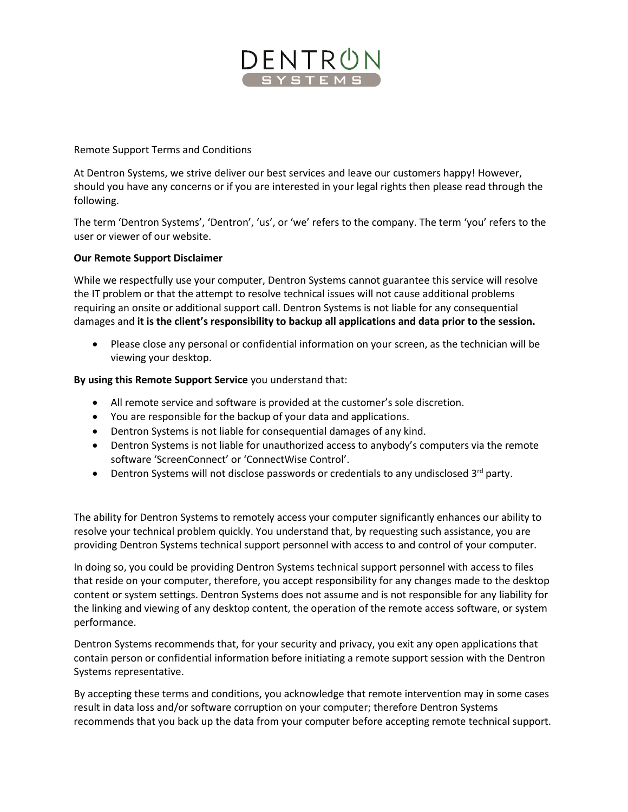

### Remote Support Terms and Conditions

At Dentron Systems, we strive deliver our best services and leave our customers happy! However, should you have any concerns or if you are interested in your legal rights then please read through the following.

The term 'Dentron Systems', 'Dentron', 'us', or 'we' refers to the company. The term 'you' refers to the user or viewer of our website.

#### **Our Remote Support Disclaimer**

While we respectfully use your computer, Dentron Systems cannot guarantee this service will resolve the IT problem or that the attempt to resolve technical issues will not cause additional problems requiring an onsite or additional support call. Dentron Systems is not liable for any consequential damages and **it is the client's responsibility to backup all applications and data prior to the session.**

 Please close any personal or confidential information on your screen, as the technician will be viewing your desktop.

#### **By using this Remote Support Service** you understand that:

- All remote service and software is provided at the customer's sole discretion.
- You are responsible for the backup of your data and applications.
- Dentron Systems is not liable for consequential damages of any kind.
- Dentron Systems is not liable for unauthorized access to anybody's computers via the remote software 'ScreenConnect' or 'ConnectWise Control'.
- **•** Dentron Systems will not disclose passwords or credentials to any undisclosed  $3^{rd}$  party.

The ability for Dentron Systems to remotely access your computer significantly enhances our ability to resolve your technical problem quickly. You understand that, by requesting such assistance, you are providing Dentron Systems technical support personnel with access to and control of your computer.

In doing so, you could be providing Dentron Systems technical support personnel with access to files that reside on your computer, therefore, you accept responsibility for any changes made to the desktop content or system settings. Dentron Systems does not assume and is not responsible for any liability for the linking and viewing of any desktop content, the operation of the remote access software, or system performance.

Dentron Systems recommends that, for your security and privacy, you exit any open applications that contain person or confidential information before initiating a remote support session with the Dentron Systems representative.

By accepting these terms and conditions, you acknowledge that remote intervention may in some cases result in data loss and/or software corruption on your computer; therefore Dentron Systems recommends that you back up the data from your computer before accepting remote technical support.